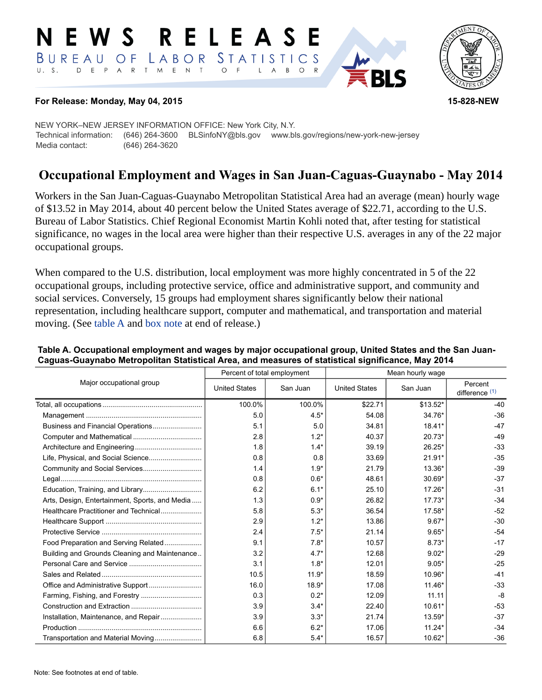#### RELEASE E W S LABOR STATISTICS BUREAU OF D E P A R T M E N T  $U. S.$  $\circ$  $\overline{F}$  $\mathsf{L}$  $\overline{A}$  $B$  $\circ$



#### **For Release: Monday, May 04, 2015 15-828-NEW**

NEW YORK–NEW JERSEY INFORMATION OFFICE: New York City, N.Y. Technical information: (646) 264-3600 BLSinfoNY@bls.gov www.bls.gov/regions/new-york-new-jersey Media contact: (646) 264-3620

# **Occupational Employment and Wages in San Juan-Caguas-Guaynabo - May 2014**

Workers in the San Juan-Caguas-Guaynabo Metropolitan Statistical Area had an average (mean) hourly wage of \$13.52 in May 2014, about 40 percent below the United States average of \$22.71, according to the U.S. Bureau of Labor Statistics. Chief Regional Economist Martin Kohli noted that, after testing for statistical significance, no wages in the local area were higher than their respective U.S. averages in any of the 22 major occupational groups.

When compared to the U.S. distribution, local employment was more highly concentrated in 5 of the 22 occupational groups, including protective service, office and administrative support, and community and social services. Conversely, 15 groups had employment shares significantly below their national representation, including healthcare support, computer and mathematical, and transportation and material moving. (See table A and [box note](#page-1-0) at end of release.)

| Major occupational group                       |                      | Percent of total employment | Mean hourly wage     |           |                             |
|------------------------------------------------|----------------------|-----------------------------|----------------------|-----------|-----------------------------|
|                                                | <b>United States</b> | San Juan                    | <b>United States</b> | San Juan  | Percent<br>difference $(1)$ |
|                                                | 100.0%               | 100.0%                      | \$22.71              | $$13.52*$ | $-40$                       |
|                                                | 5.0                  | $4.5*$                      | 54.08                | 34.76*    | $-36$                       |
|                                                | 5.1                  | 5.0                         | 34.81                | $18.41*$  | $-47$                       |
|                                                | 2.8                  | $1.2*$                      | 40.37                | $20.73*$  | $-49$                       |
|                                                | 1.8                  | $1.4*$                      | 39.19                | 26.25*    | $-33$                       |
| Life, Physical, and Social Science             | 0.8                  | 0.8                         | 33.69                | $21.91*$  | $-35$                       |
|                                                | 1.4                  | $1.9*$                      | 21.79                | 13.36*    | $-39$                       |
|                                                | 0.8                  | $0.6*$                      | 48.61                | 30.69*    | $-37$                       |
| Education, Training, and Library               | 6.2                  | $6.1*$                      | 25.10                | 17.26*    | $-31$                       |
| Arts, Design, Entertainment, Sports, and Media | 1.3                  | $0.9*$                      | 26.82                | $17.73*$  | $-34$                       |
| Healthcare Practitioner and Technical          | 5.8                  | $5.3*$                      | 36.54                | 17.58*    | $-52$                       |
|                                                | 2.9                  | $1.2*$                      | 13.86                | $9.67*$   | $-30$                       |
|                                                | 2.4                  | $7.5*$                      | 21.14                | $9.65*$   | $-54$                       |
| Food Preparation and Serving Related           | 9.1                  | $7.8*$                      | 10.57                | $8.73*$   | $-17$                       |
| Building and Grounds Cleaning and Maintenance  | 3.2                  | $4.7*$                      | 12.68                | $9.02*$   | $-29$                       |
|                                                | 3.1                  | $1.8*$                      | 12.01                | $9.05*$   | $-25$                       |
|                                                | 10.5                 | $11.9*$                     | 18.59                | 10.96*    | $-41$                       |
|                                                | 16.0                 | $18.9*$                     | 17.08                | $11.46*$  | $-33$                       |
|                                                | 0.3                  | $0.2*$                      | 12.09                | 11.11     | -8                          |
|                                                | 3.9                  | $3.4*$                      | 22.40                | 10.61*    | $-53$                       |
| Installation, Maintenance, and Repair          | 3.9                  | $3.3*$                      | 21.74                | 13.59*    | $-37$                       |
|                                                | 6.6                  | $6.2*$                      | 17.06                | $11.24*$  | $-34$                       |
| Transportation and Material Moving             | 6.8                  | $5.4*$                      | 16.57                | 10.62*    | $-36$                       |

#### **Table A. Occupational employment and wages by major occupational group, United States and the San Juan-Caguas-Guaynabo Metropolitan Statistical Area, and measures of statistical significance, May 2014**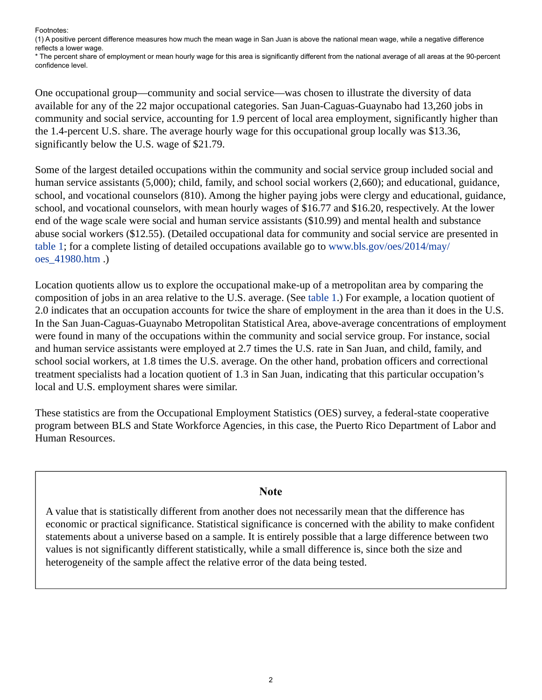Footnotes:

<span id="page-1-1"></span>(1) A positive percent difference measures how much the mean wage in San Juan is above the national mean wage, while a negative difference reflects a lower wage.

\* The percent share of employment or mean hourly wage for this area is significantly different from the national average of all areas at the 90-percent confidence level.

One occupational group—community and social service—was chosen to illustrate the diversity of data available for any of the 22 major occupational categories. San Juan-Caguas-Guaynabo had 13,260 jobs in community and social service, accounting for 1.9 percent of local area employment, significantly higher than the 1.4-percent U.S. share. The average hourly wage for this occupational group locally was \$13.36, significantly below the U.S. wage of \$21.79.

Some of the largest detailed occupations within the community and social service group included social and human service assistants (5,000); child, family, and school social workers (2,660); and educational, guidance, school, and vocational counselors (810). Among the higher paying jobs were clergy and educational, guidance, school, and vocational counselors, with mean hourly wages of \$16.77 and \$16.20, respectively. At the lower end of the wage scale were social and human service assistants (\$10.99) and mental health and substance abuse social workers (\$12.55). (Detailed occupational data for community and social service are presented in table 1; for a complete listing of detailed occupations available go to [www.bls.gov/oes/2014/may/](https://www.bls.gov/oes/2014/may/oes_41980.htm) [oes\\_41980.htm](https://www.bls.gov/oes/2014/may/oes_41980.htm) .)

Location quotients allow us to explore the occupational make-up of a metropolitan area by comparing the composition of jobs in an area relative to the U.S. average. (See table 1.) For example, a location quotient of 2.0 indicates that an occupation accounts for twice the share of employment in the area than it does in the U.S. In the San Juan-Caguas-Guaynabo Metropolitan Statistical Area, above-average concentrations of employment were found in many of the occupations within the community and social service group. For instance, social and human service assistants were employed at 2.7 times the U.S. rate in San Juan, and child, family, and school social workers, at 1.8 times the U.S. average. On the other hand, probation officers and correctional treatment specialists had a location quotient of 1.3 in San Juan, indicating that this particular occupation's local and U.S. employment shares were similar.

These statistics are from the Occupational Employment Statistics (OES) survey, a federal-state cooperative program between BLS and State Workforce Agencies, in this case, the Puerto Rico Department of Labor and Human Resources.

### **Note**

<span id="page-1-0"></span>A value that is statistically different from another does not necessarily mean that the difference has economic or practical significance. Statistical significance is concerned with the ability to make confident statements about a universe based on a sample. It is entirely possible that a large difference between two values is not significantly different statistically, while a small difference is, since both the size and heterogeneity of the sample affect the relative error of the data being tested.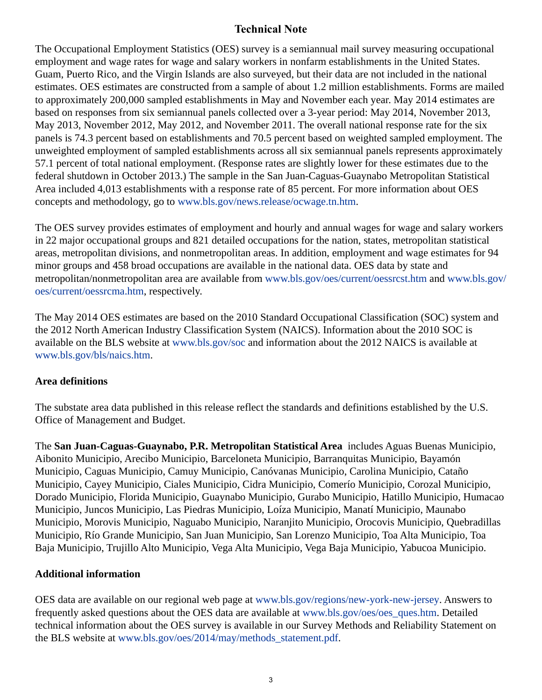## **Technical Note**

The Occupational Employment Statistics (OES) survey is a semiannual mail survey measuring occupational employment and wage rates for wage and salary workers in nonfarm establishments in the United States. Guam, Puerto Rico, and the Virgin Islands are also surveyed, but their data are not included in the national estimates. OES estimates are constructed from a sample of about 1.2 million establishments. Forms are mailed to approximately 200,000 sampled establishments in May and November each year. May 2014 estimates are based on responses from six semiannual panels collected over a 3-year period: May 2014, November 2013, May 2013, November 2012, May 2012, and November 2011. The overall national response rate for the six panels is 74.3 percent based on establishments and 70.5 percent based on weighted sampled employment. The unweighted employment of sampled establishments across all six semiannual panels represents approximately 57.1 percent of total national employment. (Response rates are slightly lower for these estimates due to the federal shutdown in October 2013.) The sample in the San Juan-Caguas-Guaynabo Metropolitan Statistical Area included 4,013 establishments with a response rate of 85 percent. For more information about OES concepts and methodology, go to [www.bls.gov/news.release/ocwage.tn.htm](https://www.bls.gov/news.release/ocwage.tn.htm).

The OES survey provides estimates of employment and hourly and annual wages for wage and salary workers in 22 major occupational groups and 821 detailed occupations for the nation, states, metropolitan statistical areas, metropolitan divisions, and nonmetropolitan areas. In addition, employment and wage estimates for 94 minor groups and 458 broad occupations are available in the national data. OES data by state and metropolitan/nonmetropolitan area are available from [www.bls.gov/oes/current/oessrcst.htm](https://www.bls.gov/oes/current/oessrcst.htm) and [www.bls.gov/](https://www.bls.gov/oes/current/oessrcma.htm) [oes/current/oessrcma.htm,](https://www.bls.gov/oes/current/oessrcma.htm) respectively.

The May 2014 OES estimates are based on the 2010 Standard Occupational Classification (SOC) system and the 2012 North American Industry Classification System (NAICS). Information about the 2010 SOC is available on the BLS website at [www.bls.gov/soc](https://www.bls.gov/soc) and information about the 2012 NAICS is available at [www.bls.gov/bls/naics.htm.](https://www.bls.gov/bls/naics.htm)

## **Area definitions**

The substate area data published in this release reflect the standards and definitions established by the U.S. Office of Management and Budget.

The **San Juan-Caguas-Guaynabo, P.R. Metropolitan Statistical Area** includes Aguas Buenas Municipio, Aibonito Municipio, Arecibo Municipio, Barceloneta Municipio, Barranquitas Municipio, Bayamón Municipio, Caguas Municipio, Camuy Municipio, Canóvanas Municipio, Carolina Municipio, Cataño Municipio, Cayey Municipio, Ciales Municipio, Cidra Municipio, Comerío Municipio, Corozal Municipio, Dorado Municipio, Florida Municipio, Guaynabo Municipio, Gurabo Municipio, Hatillo Municipio, Humacao Municipio, Juncos Municipio, Las Piedras Municipio, Loíza Municipio, Manatí Municipio, Maunabo Municipio, Morovis Municipio, Naguabo Municipio, Naranjito Municipio, Orocovis Municipio, Quebradillas Municipio, Río Grande Municipio, San Juan Municipio, San Lorenzo Municipio, Toa Alta Municipio, Toa Baja Municipio, Trujillo Alto Municipio, Vega Alta Municipio, Vega Baja Municipio, Yabucoa Municipio.

## **Additional information**

OES data are available on our regional web page at [www.bls.gov/regions/new-york-new-jersey](https://www.bls.gov/regions/new-york-new-jersey). Answers to frequently asked questions about the OES data are available at [www.bls.gov/oes/oes\\_ques.htm](https://www.bls.gov/oes/oes_ques.htm). Detailed technical information about the OES survey is available in our Survey Methods and Reliability Statement on the BLS website at [www.bls.gov/oes/2014/may/methods\\_statement.pdf](https://www.bls.gov/oes/2014/may/methods_statement.pdf).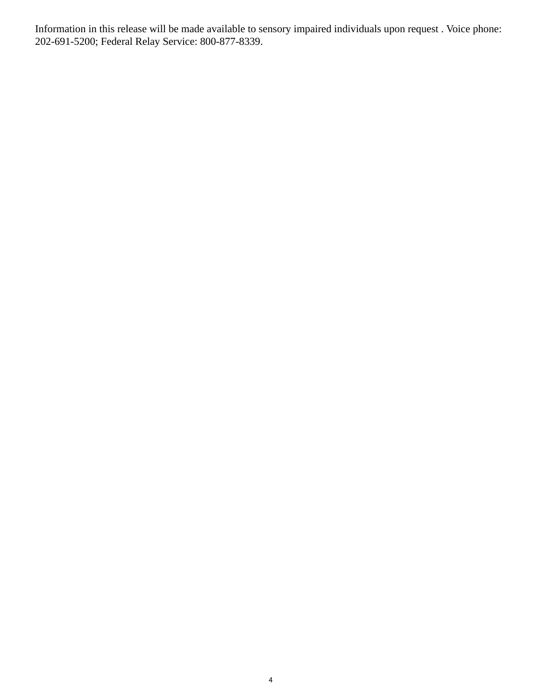Information in this release will be made available to sensory impaired individuals upon request . Voice phone: 202-691-5200; Federal Relay Service: 800-877-8339.